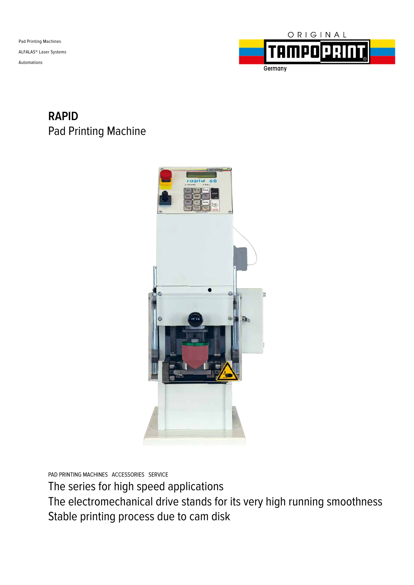Pad Printing Machines ALFALAS® Laser Systems Automations



### **RAPID** Pad Printing Machine



PAD PRINTING MACHINES ACCESSORIES SERVICE

The series for high speed applications

The electromechanical drive stands for its very high running smoothness Stable printing process due to cam disk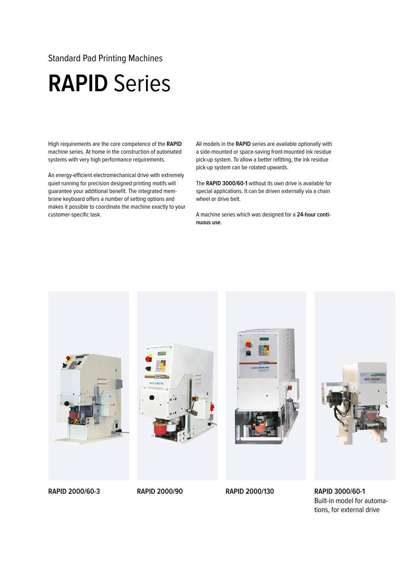#### Standard Pad Printing Machines

## **RAPID** Series

High requirements are the core competence of the **RAPID** machine series. At home in the construction of automated systems with very high performance requirements.

An energy-efficient electromechanical drive with extremely quiet running for precision designed printing motifs will guarantee your additional benefit. The integrated membrane keyboard offers a number of setting options and makes it possible to coordinate the machine exactly to your customer-specific task.

All models in the **RAPID** series are available optionally with a side-mounted or space-saving front-mounted ink residue pick-up system. To allow a better refitting, the ink residue pick-up system can be rotated upwards.

The **RAPID 3000/60-1** without its own drive is available for special applications. It can be driven externally via a chain wheel or drive belt.

A machine series which was designed for a **24-hour continuous use**.



Built-in model for automations, for external drive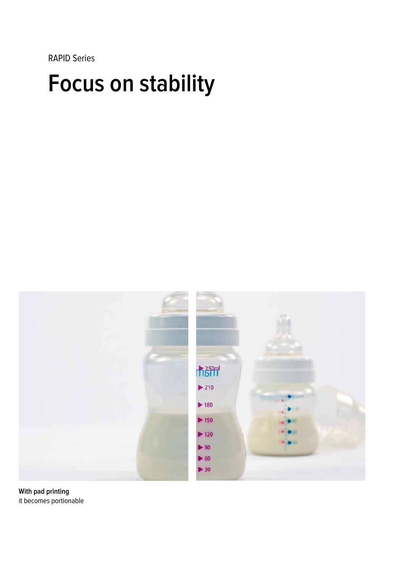RAPID Series

# **Focus on stability**



**With pad printing** it becomes portionable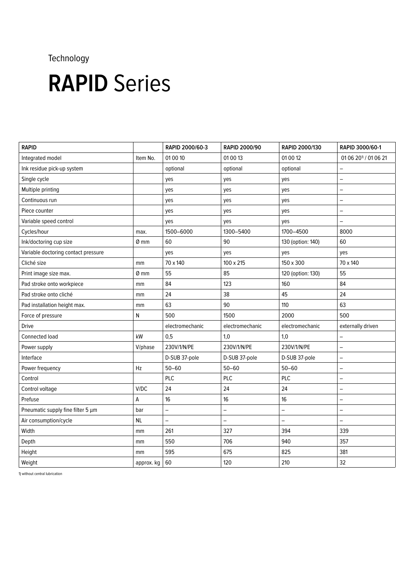### Technology

# **RAPID** Series

| <b>RAPID</b>                        |            | RAPID 2000/60-3   | <b>RAPID 2000/90</b>     | RAPID 2000/130    | RAPID 3000/60-1                  |
|-------------------------------------|------------|-------------------|--------------------------|-------------------|----------------------------------|
| Integrated model                    | Item No.   | 01 00 10          | 01 00 13                 | 01 00 12          | 01 06 20 <sup>1</sup> / 01 06 21 |
| Ink residue pick-up system          |            | optional          | optional                 | optional          | $\qquad \qquad -$                |
| Single cycle                        |            | yes               | yes                      | yes               | $\overline{\phantom{0}}$         |
| Multiple printing                   |            | yes               | yes                      | yes               | $\qquad \qquad -$                |
| Continuous run                      |            | yes               | yes                      | yes               | $\overline{\phantom{0}}$         |
| Piece counter                       |            | yes               | yes                      | yes               | $\overline{\phantom{0}}$         |
| Variable speed control              |            | yes               | yes                      | yes               | $\overline{\phantom{m}}$         |
| Cycles/hour                         | max.       | 1500-6000         | 1300-5400                | 1700-4500         | 8000                             |
| Ink/doctoring cup size              | 0 mm       | 60                | 90                       | 130 (option: 140) | 60                               |
| Variable doctoring contact pressure |            | yes               | yes                      | yes               | yes                              |
| Cliché size                         | mm         | 70 x 140          | 100 x 215                | 150 x 300         | 70 x 140                         |
| Print image size max.               | 0 mm       | 55                | 85                       | 120 (option: 130) | 55                               |
| Pad stroke onto workpiece           | mm         | 84                | 123                      | 160               | 84                               |
| Pad stroke onto cliché              | mm         | 24                | 38                       | 45                | 24                               |
| Pad installation height max.        | mm         | 63                | 90                       | 110               | 63                               |
| Force of pressure                   | ${\sf N}$  | 500               | 1500                     | 2000              | 500                              |
| <b>Drive</b>                        |            | electromechanic   | electromechanic          | electromechanic   | externally driven                |
| Connected load                      | kW         | 0,5               | 1,0                      | 1,0               | $\qquad \qquad -$                |
| Power supply                        | V/phase    | 230V/1/N/PE       | 230V/1/N/PE              | 230V/1/N/PE       | $\overline{\phantom{0}}$         |
| Interface                           |            | D-SUB 37-pole     | D-SUB 37-pole            | D-SUB 37-pole     | $\qquad \qquad -$                |
| Power frequency                     | Hz         | $50 - 60$         | $50 - 60$                | $50 - 60$         | $\qquad \qquad -$                |
| Control                             |            | PLC               | PLC                      | PLC               | $\overline{\phantom{0}}$         |
| Control voltage                     | V/DC       | 24                | 24                       | 24                | $\qquad \qquad -$                |
| Prefuse                             | А          | 16                | 16                       | 16                | $\qquad \qquad -$                |
| Pneumatic supply fine filter 5 µm   | bar        | $\qquad \qquad -$ | $\overline{\phantom{0}}$ | $\qquad \qquad -$ | $\qquad \qquad -$                |
| Air consumption/cycle               | <b>NL</b>  | —                 | $\overline{\phantom{0}}$ |                   | $\overline{\phantom{0}}$         |
| Width                               | mm         | 261               | 327                      | 394               | 339                              |
| Depth                               | mm         | 550               | 706                      | 940               | 357                              |
| Height                              | mm         | 595               | 675                      | 825               | 381                              |
| Weight                              | approx. kg | 60                | 120                      | 210               | 32                               |

1) without central lubrication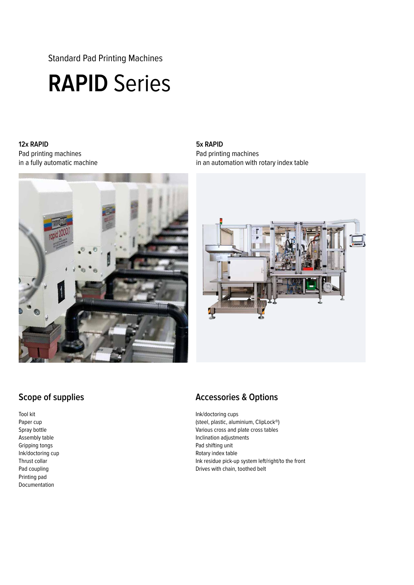Standard Pad Printing Machines

## **RAPID** Series

#### **12x RAPID**  Pad printing machines in a fully automatic machine



#### **5x RAPID**  Pad printing machines in an automation with rotary index table



### **Scope of supplies**

Tool kit Paper cup Spray bottle Assembly table Gripping tongs Ink/doctoring cup Thrust collar Pad coupling Printing pad Documentation

### **Accessories & Options**

Ink/doctoring cups (steel, plastic, aluminium, ClipLock®) Various cross and plate cross tables Inclination adjustments Pad shifting unit Rotary index table Ink residue pick-up system left/right/to the front Drives with chain, toothed belt